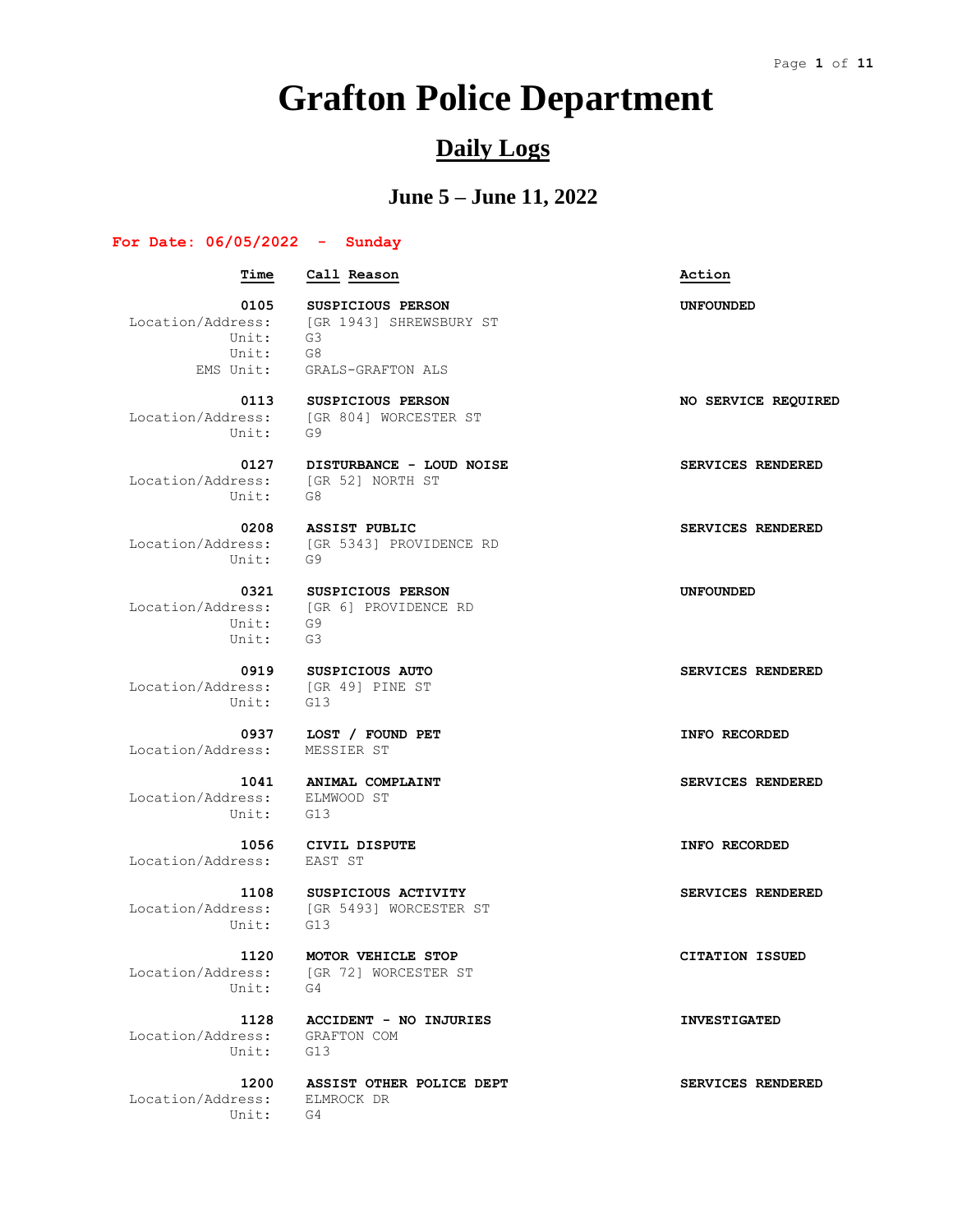# **Grafton Police Department**

## **Daily Logs**

## **June 5 – June 11, 2022**

#### **For Date: 06/05/2022 - Sunday**

### **Time Call Reason Action**

 Unit: G3 Unit: G8

 **0105 SUSPICIOUS PERSON UNFOUNDED** Location/Address: [GR 1943] SHREWSBURY ST EMS Unit: GRALS-GRAFTON ALS

 **0113 SUSPICIOUS PERSON NO SERVICE REQUIRED** Unit: G9

 Location/Address: [GR 52] NORTH ST Unit: G8

Unit: G9

 Unit: G9 Unit: G3

Location/Address: [GR 49] PINE ST Unit: G13

Location/Address: MESSIER ST

 Location/Address: ELMWOOD ST Unit: G13

Location/Address: EAST ST

Unit: G13

Unit: G4

 Location/Address: GRAFTON COM Unit: G13

 Location/Address: ELMROCK DR Unit: G4

Location/Address: [GR 804] WORCESTER ST

0127 **DISTURBANCE - LOUD NOISE SERVICES RENDERED** 

0208 **ASSIST PUBLIC SERVICES RENDERED** Location/Address: [GR 5343] PROVIDENCE RD

 **0321 SUSPICIOUS PERSON UNFOUNDED** Location/Address: [GR 6] PROVIDENCE RD

 **0937 LOST / FOUND PET INFO RECORDED**

Location/Address: [GR 5493] WORCESTER ST

 **1120 MOTOR VEHICLE STOP CITATION ISSUED** Location/Address: [GR 72] WORCESTER ST

 **1128 ACCIDENT - NO INJURIES INVESTIGATED**

 **1200 ASSIST OTHER POLICE DEPT SERVICES RENDERED**

 **0919 SUSPICIOUS AUTO SERVICES RENDERED**

 **1041 ANIMAL COMPLAINT SERVICES RENDERED**

 **1056 CIVIL DISPUTE INFO RECORDED**

1108 SUSPICIOUS ACTIVITY **SERVICES RENDERED**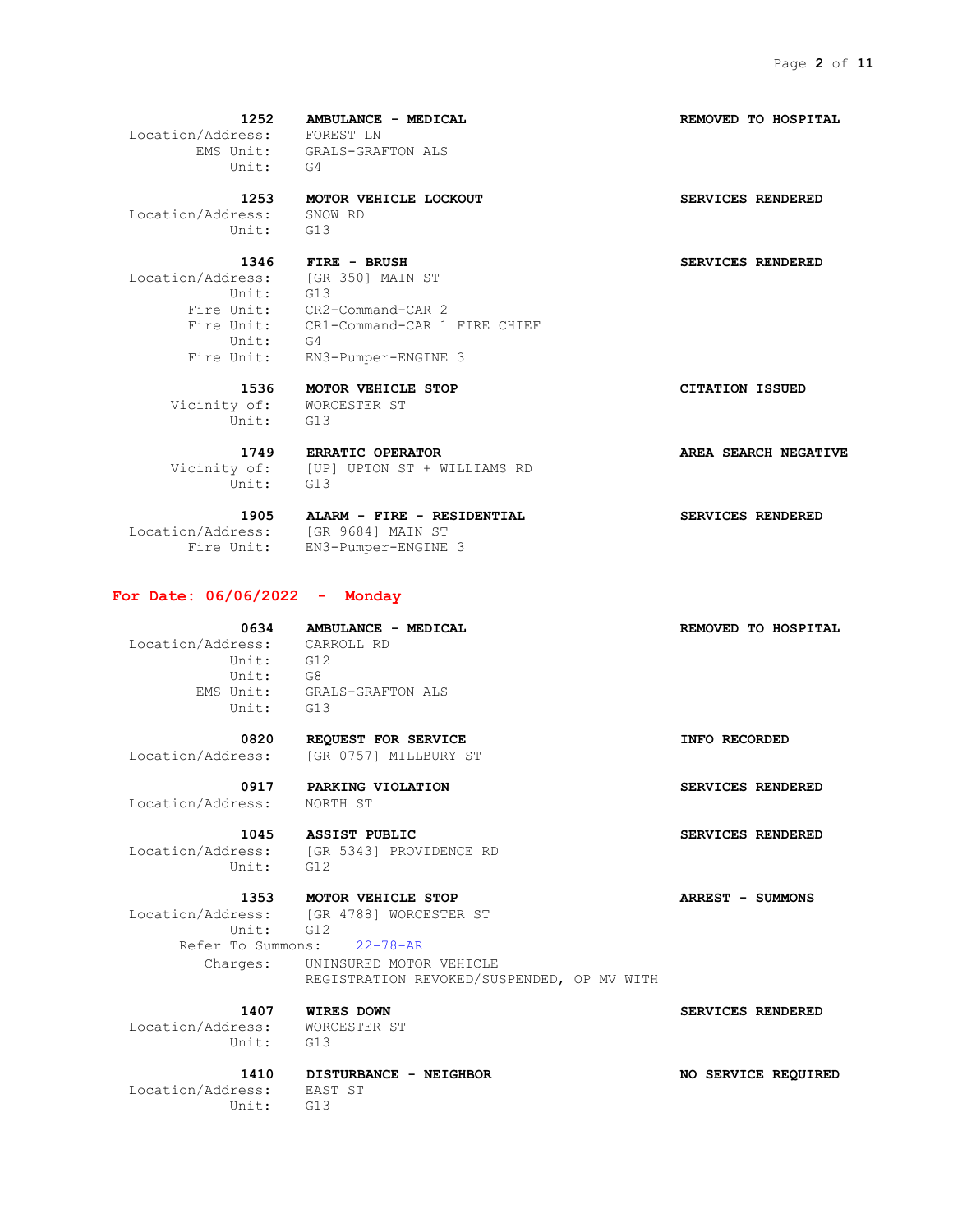**1252 AMBULANCE - MEDICAL REMOVED TO HOSPITAL** Location/Address: FOREST LN EMS Unit: GRALS-GRAFTON ALS Unit: G4

 **1253 MOTOR VEHICLE LOCKOUT SERVICES RENDERED** Location/Address: SNOW RD

Unit: G13

Unit: G13 Unit: G4

 **1346 FIRE - BRUSH SERVICES RENDERED** Location/Address: [GR 350] MAIN ST Fire Unit: CR2-Command-CAR 2 Fire Unit: CR1-Command-CAR 1 FIRE CHIEF Fire Unit: EN3-Pumper-ENGINE 3

 **1536 MOTOR VEHICLE STOP CITATION ISSUED** Vicinity of: WORCESTER ST Unit: G13

 **1749 ERRATIC OPERATOR AREA SEARCH NEGATIVE** Vicinity of: [UP] UPTON ST + WILLIAMS RD Unit: G13

Location/Address: [GR 9684] MAIN ST

 **1905 ALARM - FIRE - RESIDENTIAL SERVICES RENDERED** Fire Unit: EN3-Pumper-ENGINE 3

#### **For Date: 06/06/2022 - Monday**

 **0634 AMBULANCE - MEDICAL REMOVED TO HOSPITAL** Location/Address: CARROLL RD Unit: G12 Unit: G8 EMS Unit: GRALS-GRAFTON ALS Unit: G13

 **0820 REQUEST FOR SERVICE INFO RECORDED** Location/Address: [GR 0757] MILLBURY ST

 **0917 PARKING VIOLATION SERVICES RENDERED** Location/Address: NORTH ST

 **1045 ASSIST PUBLIC SERVICES RENDERED**

Location/Address: [GR 5343] PROVIDENCE RD Unit: G12

 **1353 MOTOR VEHICLE STOP ARREST - SUMMONS** Location/Address: [GR 4788] WORCESTER ST

 Unit: G12 Refer To Summons: 22-78-AR

 Charges: UNINSURED MOTOR VEHICLE REGISTRATION REVOKED/SUSPENDED, OP MV WITH

 Location/Address: WORCESTER ST Unit: G13

 Location/Address: EAST ST Unit: G13

 **1410 DISTURBANCE - NEIGHBOR NO SERVICE REQUIRED**

 **1407 WIRES DOWN SERVICES RENDERED**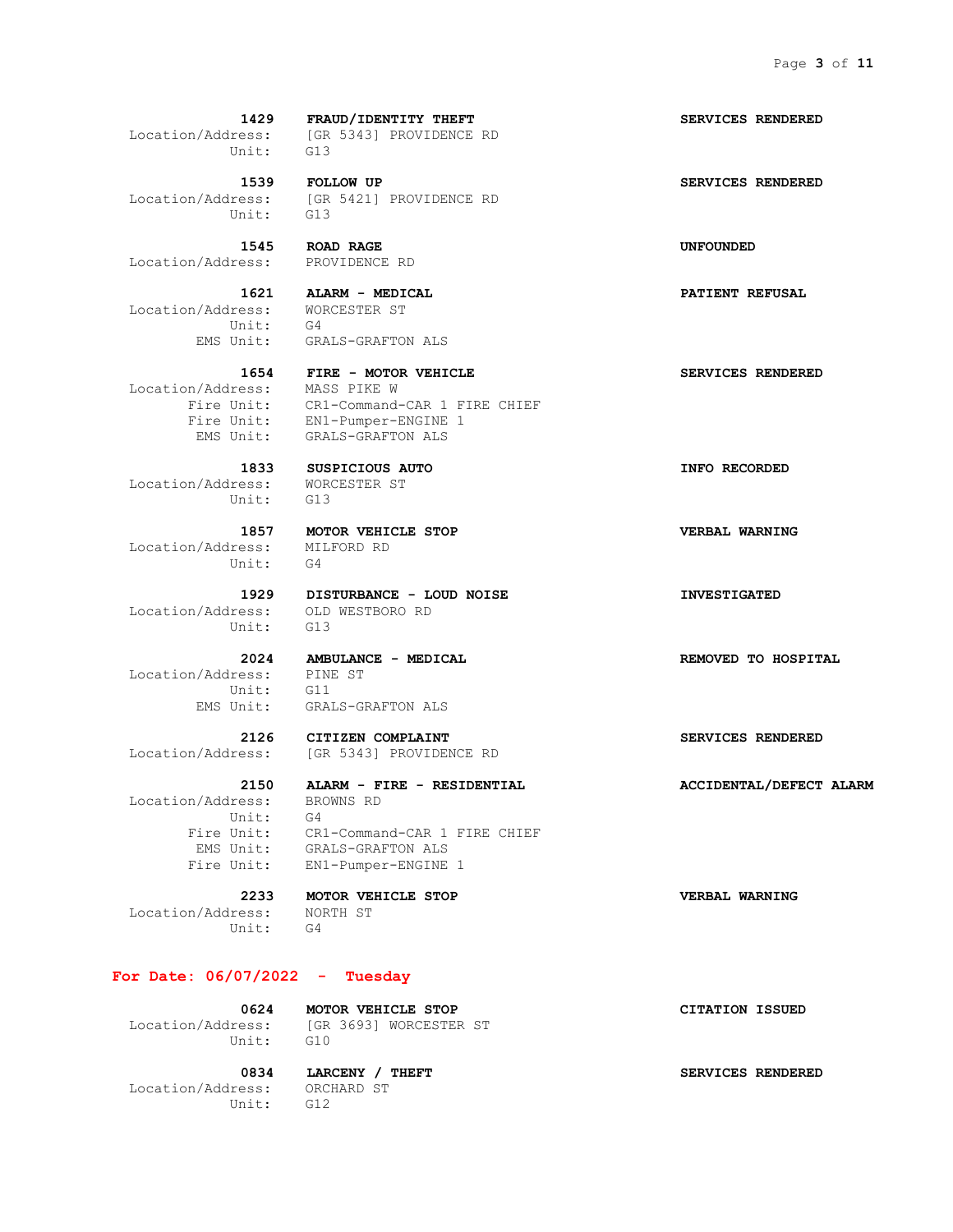**1429 FRAUD/IDENTITY THEFT SERVICES RENDERED** Location/Address: [GR 5343] PROVIDENCE RD Unit: G13

 **1539 FOLLOW UP SERVICES RENDERED** Location/Address: [GR 5421] PROVIDENCE RD Unit: G13

 **1545 ROAD RAGE UNFOUNDED**

 **1621 ALARM - MEDICAL PATIENT REFUSAL** Location/Address: WORCESTER ST Unit: G4

Location/Address: MASS PIKE W

 Location/Address: WORCESTER ST Unit: G13

 Location/Address: MILFORD RD Unit: G4

 Location/Address: OLD WESTBORO RD Unit: G13

 Location/Address: PINE ST Unit: G11 EMS Unit: GRALS-GRAFTON ALS

 Location/Address: BROWNS RD Unit: G4

 Location/Address: NORTH ST Unit: G4

**For Date: 06/07/2022 - Tuesday**

Unit: G10

 **0624 MOTOR VEHICLE STOP CITATION ISSUED** Location/Address: [GR 3693] WORCESTER ST

 Location/Address: ORCHARD ST Unit: G12

0834 **LARCENY** / THEFT **SERVICES** RENDERED

Location/Address: PROVIDENCE RD

EMS Unit: GRALS-GRAFTON ALS

 **1654 FIRE - MOTOR VEHICLE SERVICES RENDERED** Fire Unit: CR1-Command-CAR 1 FIRE CHIEF Fire Unit: EN1-Pumper-ENGINE 1 EMS Unit: GRALS-GRAFTON ALS

 **1857 MOTOR VEHICLE STOP VERBAL WARNING**

 **1929 DISTURBANCE - LOUD NOISE INVESTIGATED**

 **2126 CITIZEN COMPLAINT SERVICES RENDERED** Location/Address: [GR 5343] PROVIDENCE RD

 **2150 ALARM - FIRE - RESIDENTIAL ACCIDENTAL/DEFECT ALARM**

 Fire Unit: CR1-Command-CAR 1 FIRE CHIEF EMS Unit: GRALS-GRAFTON ALS Fire Unit: EN1-Pumper-ENGINE 1

 **2233 MOTOR VEHICLE STOP VERBAL WARNING**

 **1833 SUSPICIOUS AUTO INFO RECORDED**

 **2024 AMBULANCE - MEDICAL REMOVED TO HOSPITAL**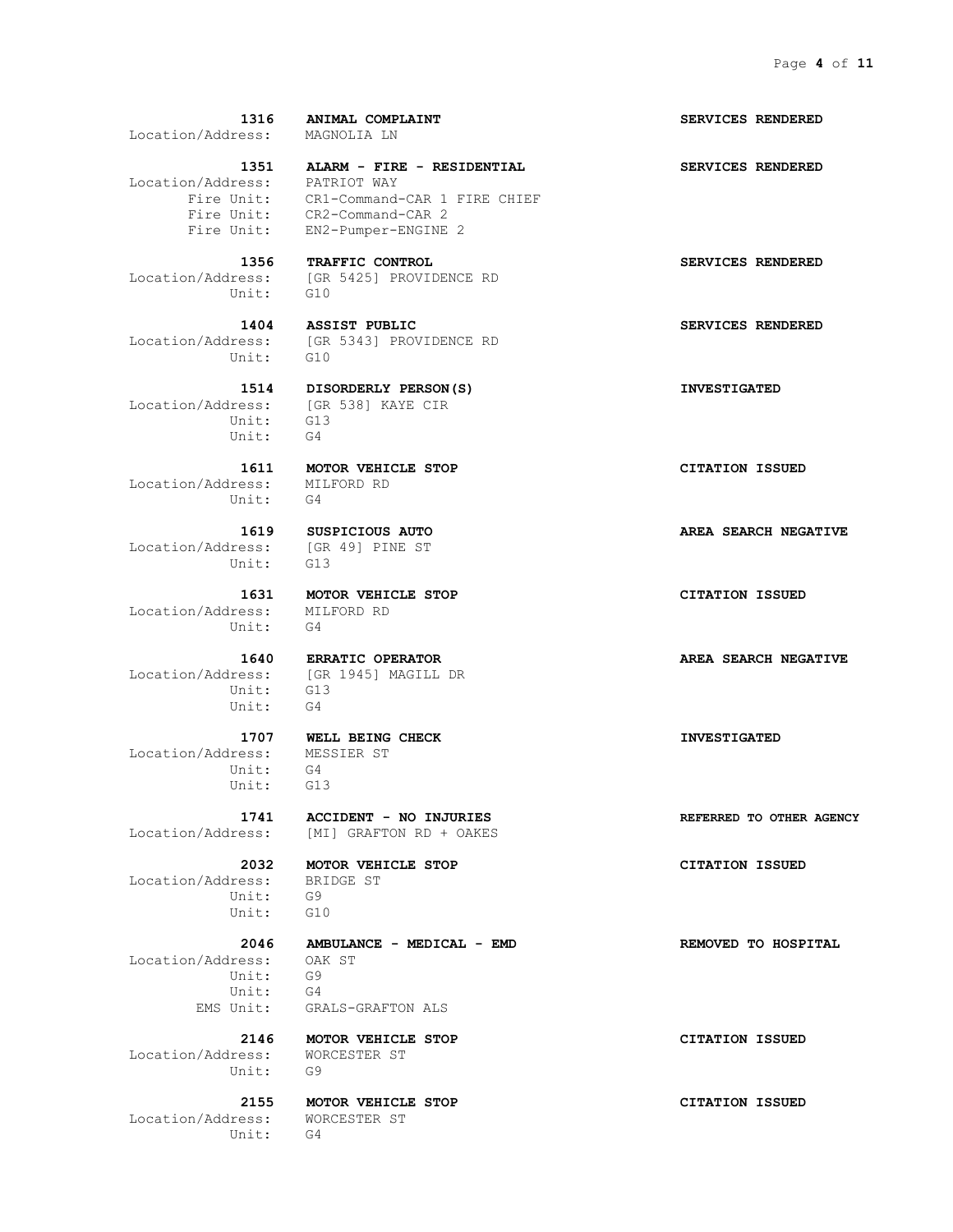| 1316<br>Location/Address: MAGNOLIA LN          | <b>ANIMAL COMPLAINT</b>                                                                                                           | SERVICES RENDERED        |
|------------------------------------------------|-----------------------------------------------------------------------------------------------------------------------------------|--------------------------|
| Location/Address: PATRIOT WAY<br>Fire Unit:    | 1351 ALARM - FIRE - RESIDENTIAL<br>Fire Unit: CR1-Command-CAR 1 FIRE CHIEF<br>Fire Unit: CR2-Command-CAR 2<br>EN2-Pumper-ENGINE 2 | SERVICES RENDERED        |
| Unit: G10                                      | 1356 TRAFFIC CONTROL<br>Location/Address: [GR 5425] PROVIDENCE RD                                                                 | SERVICES RENDERED        |
| 1404<br>Unit: G10                              | <b>ASSIST PUBLIC</b><br>Location/Address: [GR 5343] PROVIDENCE RD                                                                 | SERVICES RENDERED        |
| Unit:<br>Unit:                                 | 1514 DISORDERLY PERSON(S)<br>Location/Address: [GR 538] KAYE CIR<br>G13<br>G4                                                     | <b>INVESTIGATED</b>      |
| Location/Address:<br>Unit:                     | 1611 MOTOR VEHICLE STOP<br>MILFORD RD<br>$G-4$                                                                                    | <b>CITATION ISSUED</b>   |
| Location/Address: [GR 49] PINE ST<br>Unit: G13 | 1619 SUSPICIOUS AUTO                                                                                                              | AREA SEARCH NEGATIVE     |
| Location/Address: MILFORD RD<br>Unit: G4       | 1631 MOTOR VEHICLE STOP                                                                                                           | <b>CITATION ISSUED</b>   |
| Unit:<br>Unit:                                 | 1640 ERRATIC OPERATOR<br>Location/Address: [GR 1945] MAGILL DR<br>G13<br>G4                                                       | AREA SEARCH NEGATIVE     |
| Location/Address:<br>Unit:<br>Unit:            | 1707 WELL BEING CHECK<br>MESSIER ST<br>G4<br>G13                                                                                  | <b>INVESTIGATED</b>      |
| 1741                                           | ACCIDENT - NO INJURIES<br>Location/Address: [MI] GRAFTON RD + OAKES                                                               | REFERRED TO OTHER AGENCY |
| 2032<br>Location/Address:<br>Unit:<br>Unit:    | MOTOR VEHICLE STOP<br>BRIDGE ST<br>G9<br>G10                                                                                      | <b>CITATION ISSUED</b>   |
| 2046<br>Location/Address:<br>Unit:<br>Unit:    | AMBULANCE - MEDICAL - EMD<br>OAK ST<br>G9<br>G4                                                                                   | REMOVED TO HOSPITAL      |

 Location/Address: WORCESTER ST Unit: G9

 **2155 MOTOR VEHICLE STOP CITATION ISSUED** Location/Address: WORCESTER ST Unit: G4

 EMS Unit: GRALS-GRAFTON ALS  **2146 MOTOR VEHICLE STOP CITATION ISSUED**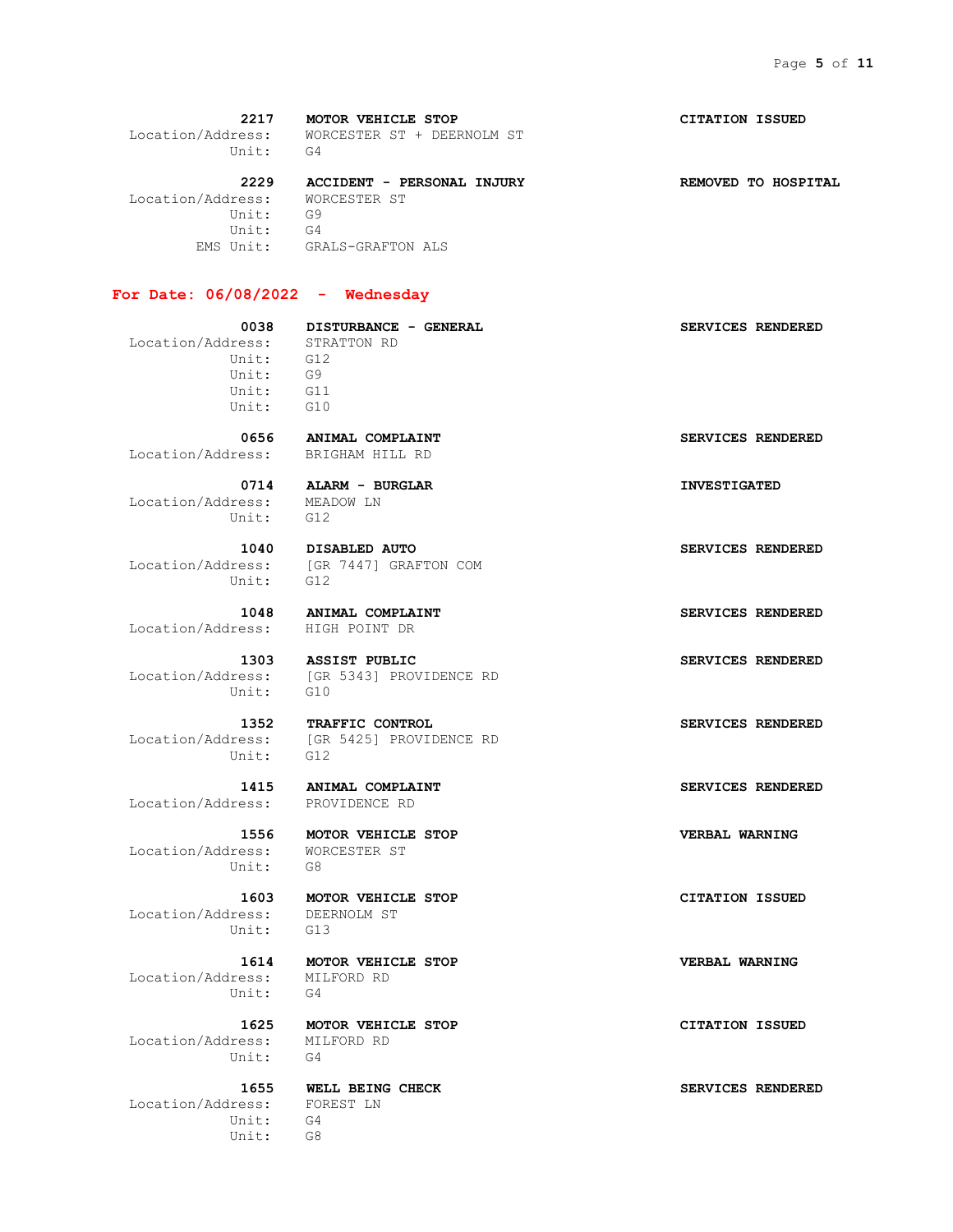**2217 MOTOR VEHICLE STOP CITATION ISSUED** Location/Address: WORCESTER ST + DEERNOLM ST Unit: G4  **2229 ACCIDENT - PERSONAL INJURY REMOVED TO HOSPITAL** Location/Address: WORCESTER ST Unit: G9 Unit: G4 EMS Unit: GRALS-GRAFTON ALS

#### **For Date: 06/08/2022 - Wednesday**

 **0038 DISTURBANCE - GENERAL SERVICES RENDERED** Location/Address: Unit: G12 Unit: G9 Unit: G11 Unit: G10

Location/Address: BRIGHAM HILL RD

 Location/Address: MEADOW LN Unit: G12

Unit: G12

Location/Address: HIGH POINT DR

Unit: G10

Unit: G12

Location/Address: PROVIDENCE RD

 Location/Address: WORCESTER ST Unit: G8

 Location/Address: DEERNOLM ST Unit: G13

 Location/Address: MILFORD RD Unit: G4

 Location/Address: MILFORD RD Unit: G4

 Location/Address: FOREST LN Unit: G4 Unit: G8

 **0656 ANIMAL COMPLAINT SERVICES RENDERED**

 **0714 ALARM - BURGLAR INVESTIGATED**

Location/Address: [GR 7447] GRAFTON COM

 **1048 ANIMAL COMPLAINT SERVICES RENDERED**

**1303 ASSIST PUBLIC SERVICES RENDERED** Location/Address: [GR 5343] PROVIDENCE RD

 **1352 TRAFFIC CONTROL SERVICES RENDERED** Location/Address: [GR 5425] PROVIDENCE RD

 **1603 MOTOR VEHICLE STOP CITATION ISSUED**

 **1614 MOTOR VEHICLE STOP VERBAL WARNING**

 **1625 MOTOR VEHICLE STOP CITATION ISSUED**

 **1655 WELL BEING CHECK SERVICES RENDERED**

 **1040 DISABLED AUTO SERVICES RENDERED**

 **1415 ANIMAL COMPLAINT SERVICES RENDERED**

 **1556 MOTOR VEHICLE STOP VERBAL WARNING**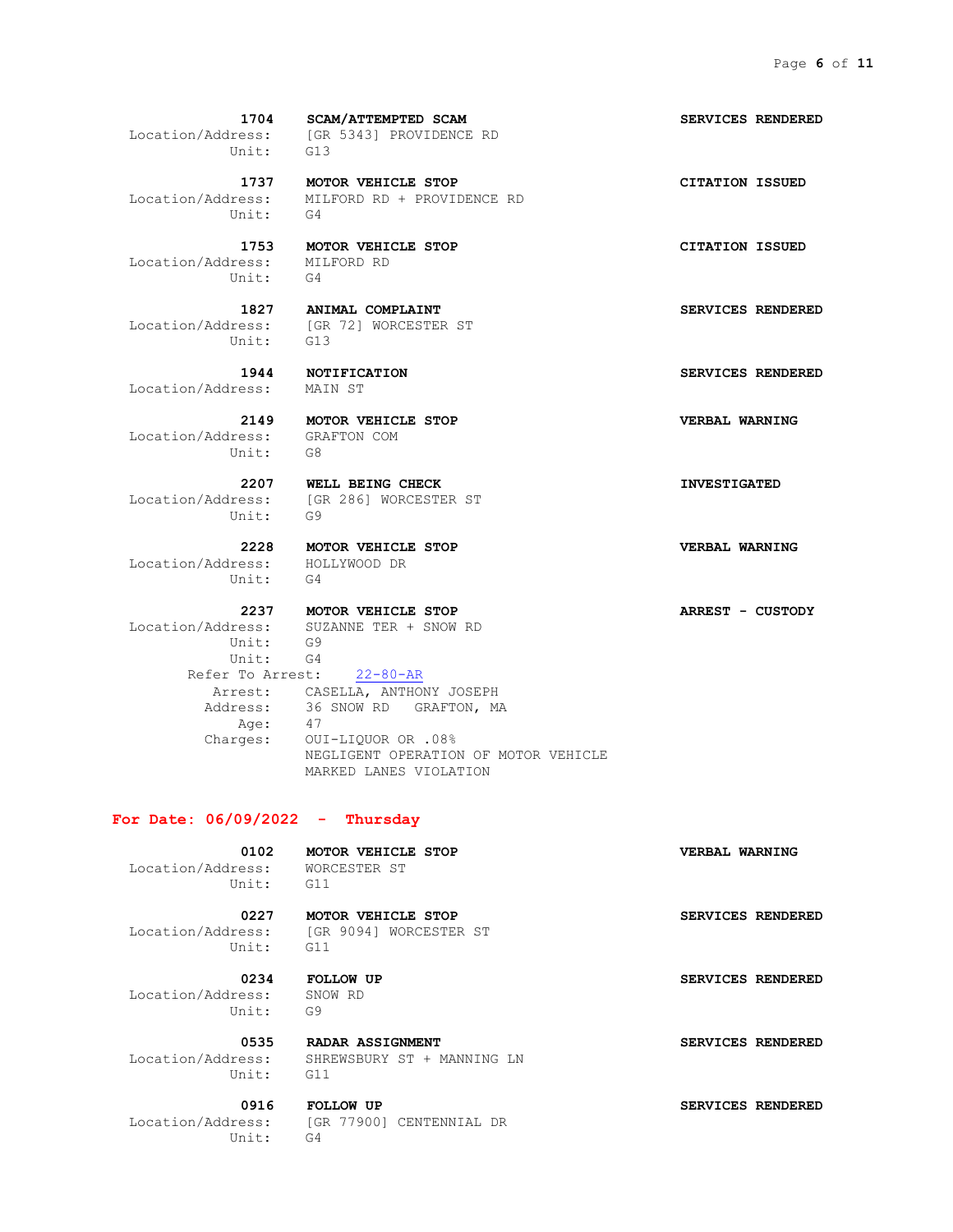Location/Address: [GR 5343] PROVIDENCE RD Unit: G13  **1737 MOTOR VEHICLE STOP CITATION ISSUED** Location/Address: MILFORD RD + PROVIDENCE RD Unit: G4  **1753 MOTOR VEHICLE STOP CITATION ISSUED** Location/Address: MILFORD RD Unit: G4  **1827 ANIMAL COMPLAINT SERVICES RENDERED** Location/Address: [GR 72] WORCESTER ST Unit: G13  **1944 NOTIFICATION SERVICES RENDERED** Location/Address: MAIN ST  **2149 MOTOR VEHICLE STOP VERBAL WARNING** Location/Address: GRAFTON COM Unit:  **2207 WELL BEING CHECK INVESTIGATED** Location/Address: [GR 286] WORCESTER ST Unit: G9  **2228 MOTOR VEHICLE STOP VERBAL WARNING** Location/Address: HOLLYWOOD DR Unit: G4

 **2237 MOTOR VEHICLE STOP ARREST - CUSTODY** Location/Address: SUZANNE TER + SNOW RD Unit: G9 Unit: G4 Refer To Arrest: 22-80-AR Arrest: CASELLA, ANTHONY JOSEPH Address: 36 SNOW RD GRAFTON, MA Age: 47<br>Charges: 0U1 OUI-LIQUOR OR .08% NEGLIGENT OPERATION OF MOTOR VEHICLE MARKED LANES VIOLATION

#### **For Date: 06/09/2022 - Thursday**

 Location/Address: WORCESTER ST Unit: G11

 **0227 MOTOR VEHICLE STOP SERVICES RENDERED** Location/Address: [GR 9094] WORCESTER ST Unit: G11

 Location/Address: SNOW RD Unit: G9

 Location/Address: SHREWSBURY ST + MANNING LN Unit: G11

 **0916 FOLLOW UP SERVICES RENDERED** Location/Address: [GR 77900] CENTENNIAL DR Unit: G4

 **1704 SCAM/ATTEMPTED SCAM SERVICES RENDERED**

 **0102 MOTOR VEHICLE STOP VERBAL WARNING**

0234 **FOLLOW UP SERVICES RENDERED** 

 **0535 RADAR ASSIGNMENT SERVICES RENDERED**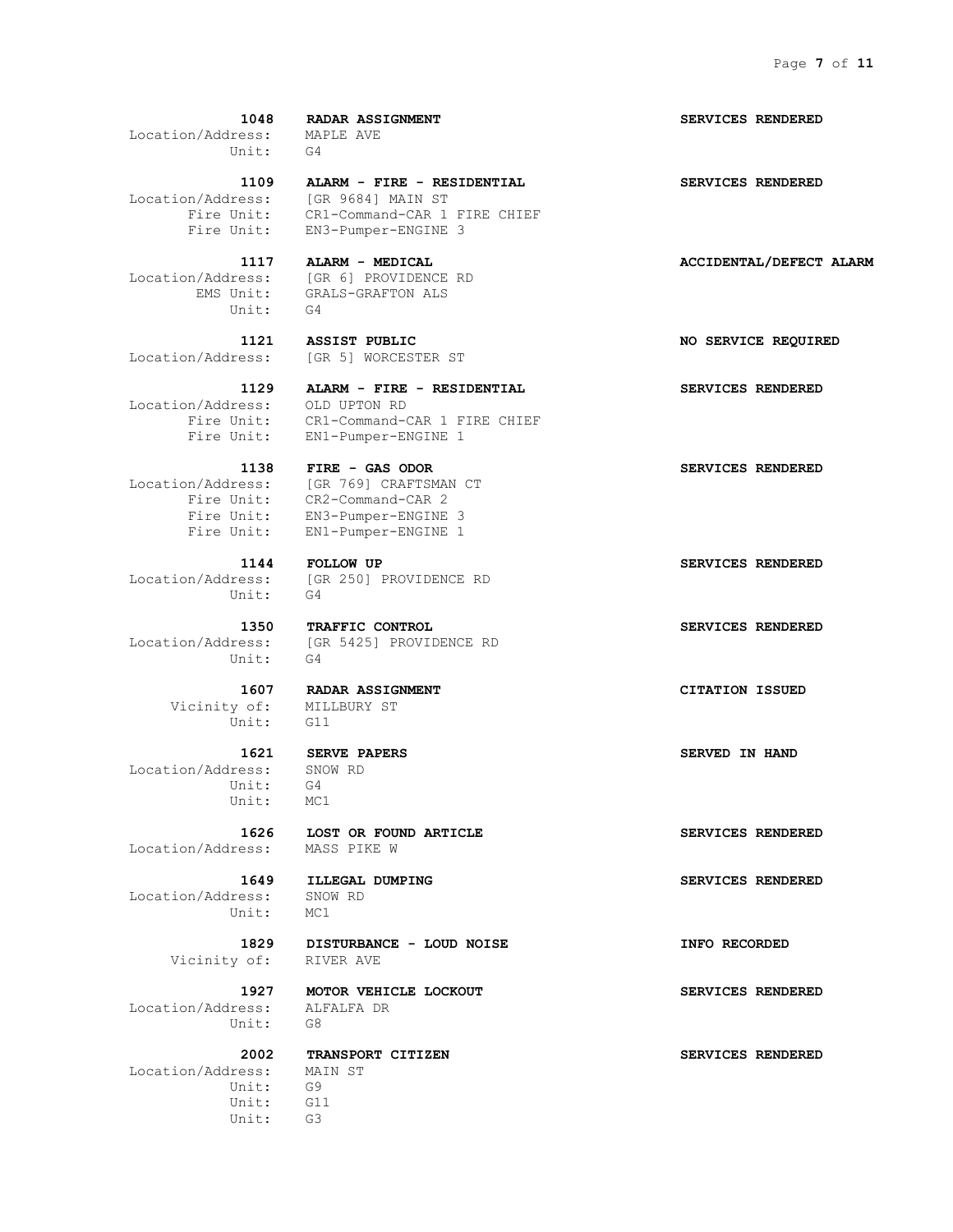| Location/Address: MAPLE AVE<br>Unit:                 | 1048 RADAR ASSIGNMENT<br>G4                                                                                                                   | <b>SERVICES RENDERED</b> |
|------------------------------------------------------|-----------------------------------------------------------------------------------------------------------------------------------------------|--------------------------|
| Fire Unit:                                           | 1109 ALARM - FIRE - RESIDENTIAL<br>Location/Address: [GR 9684] MAIN ST<br>CR1-Command-CAR 1 FIRE CHIEF<br>Fire Unit: EN3-Pumper-ENGINE 3      | SERVICES RENDERED        |
| Unit: G4                                             | 1117 ALARM - MEDICAL<br>Location/Address: [GR 6] PROVIDENCE RD<br>EMS Unit: GRALS-GRAFTON ALS                                                 | ACCIDENTAL/DEFECT ALARM  |
|                                                      | 1121 ASSIST PUBLIC<br>Location/Address: [GR 5] WORCESTER ST                                                                                   | NO SERVICE REQUIRED      |
| 1129<br>Location/Address: OLD UPTON RD<br>Fire Unit: | ALARM - FIRE - RESIDENTIAL<br>CR1-Command-CAR 1 FIRE CHIEF<br>Fire Unit: EN1-Pumper-ENGINE 1                                                  | SERVICES RENDERED        |
| Fire Unit:<br>Fire Unit:                             | 1138 FIRE - GAS ODOR<br>Location/Address: [GR 769] CRAFTSMAN CT<br>Fire Unit: CR2-Command-CAR 2<br>EN3-Pumper-ENGINE 3<br>EN1-Pumper-ENGINE 1 | SERVICES RENDERED        |
| Unit: G4                                             | 1144 FOLLOW UP<br>Location/Address: [GR 250] PROVIDENCE RD                                                                                    | SERVICES RENDERED        |
| 1350<br>Unit:                                        | TRAFFIC CONTROL<br>Location/Address: [GR 5425] PROVIDENCE RD<br>$G-4$                                                                         | SERVICES RENDERED        |
| Vicinity of: MILLBURY ST<br>Unit: G11                | 1607 RADAR ASSIGNMENT                                                                                                                         | <b>CITATION ISSUED</b>   |
| Location/Address: SNOW RD<br>Unit:<br>Unit:          | 1621 SERVE PAPERS<br>G4<br>MC1                                                                                                                | <b>SERVED IN HAND</b>    |
| 1626<br>Location/Address:                            | LOST OR FOUND ARTICLE<br>MASS PIKE W                                                                                                          | SERVICES RENDERED        |
| 1649<br>Location/Address:<br>Unit:                   | ILLEGAL DUMPING<br>SNOW RD<br>MC1                                                                                                             | SERVICES RENDERED        |
| 1829<br>Vicinity of:                                 | DISTURBANCE - LOUD NOISE<br>RIVER AVE                                                                                                         | INFO RECORDED            |
|                                                      |                                                                                                                                               |                          |

 **1927 MOTOR VEHICLE LOCKOUT SERVICES RENDERED** Location/Address: ALFALFA DR Unit: G8

 **2002 TRANSPORT CITIZEN SERVICES RENDERED**

 Location/Address: MAIN ST Unit: G9 Unit: G11 Unit: G3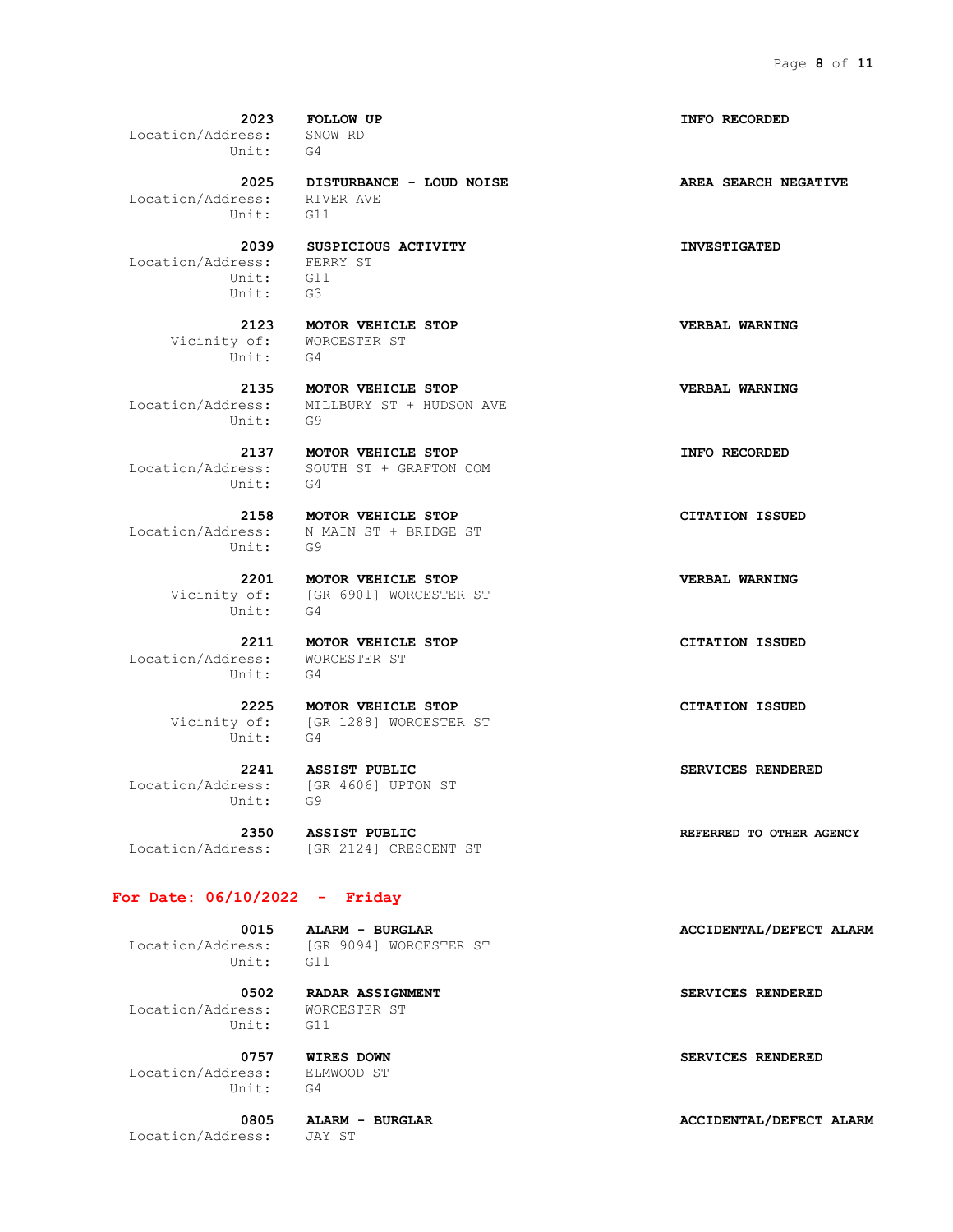**2023 FOLLOW UP INFO RECORDED** Location/Address: SNOW RD Unit: G4  **2025 DISTURBANCE - LOUD NOISE AREA SEARCH NEGATIVE** Location/Address: RIVER AVE Unit: G11  **2039 SUSPICIOUS ACTIVITY INVESTIGATED** Location/Address: FERRY ST Unit: G11 Unit: G3  **2123 MOTOR VEHICLE STOP VERBAL WARNING** Vicinity of: WORCESTER ST Unit: G4  **2135 MOTOR VEHICLE STOP VERBAL WARNING** Location/Address: MILLBURY ST + HUDSON AVE Unit: G9  **2137 MOTOR VEHICLE STOP INFO RECORDED** Location/Address: SOUTH ST + GRAFTON COM Unit: G4  **2158 MOTOR VEHICLE STOP CITATION ISSUED** Location/Address: N MAIN ST + BRIDGE ST Unit: G9

Unit: G4

 **2211 MOTOR VEHICLE STOP CITATION ISSUED** Location/Address: WORCESTER ST Unit: G4

Unit: G4

 Location/Address: [GR 4606] UPTON ST Unit: G9

 **2350 ASSIST PUBLIC REFERRED TO OTHER AGENCY**

#### **For Date: 06/10/2022 - Friday**

Unit: G11

0015 **ALARM** - **BURGLAR ACCIDENTAL/DEFECT ALARM** Location/Address: [GR 9094] WORCESTER ST

 Location/Address: WORCESTER ST Unit: G11

 Location/Address: ELMWOOD ST Unit: G4

Location/Address: JAY ST

 **2201 MOTOR VEHICLE STOP VERBAL WARNING** Vicinity of: [GR 6901] WORCESTER ST

 **2225 MOTOR VEHICLE STOP CITATION ISSUED** Vicinity of: [GR 1288] WORCESTER ST

 **2241 ASSIST PUBLIC SERVICES RENDERED**

Location/Address: [GR 2124] CRESCENT ST

 **0502 RADAR ASSIGNMENT SERVICES RENDERED**

 **0757 WIRES DOWN SERVICES RENDERED**

 **0805 ALARM - BURGLAR ACCIDENTAL/DEFECT ALARM**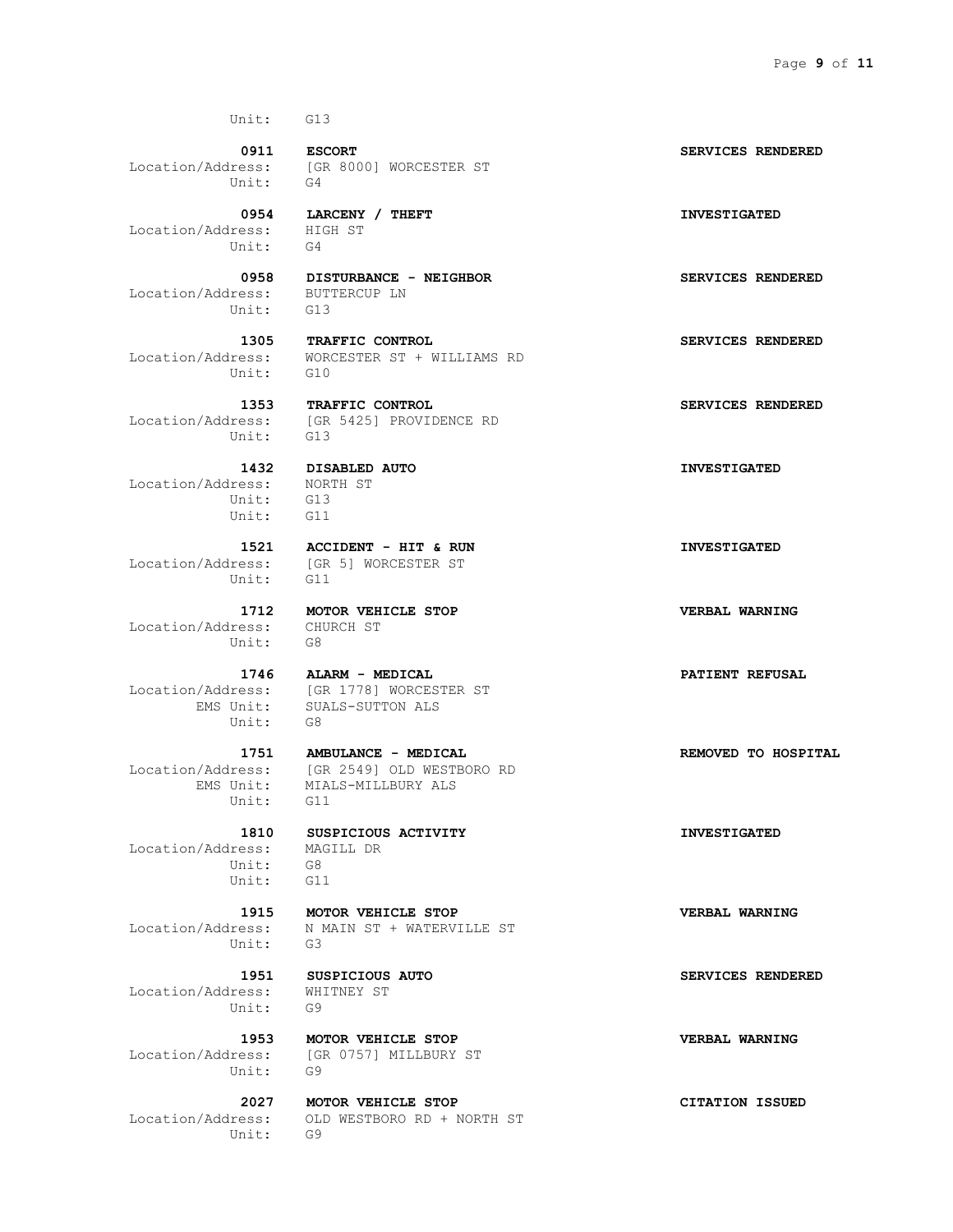Unit: G13

 Location/Address: [GR 8000] WORCESTER ST Unit: G4

Location/Address: HIGH ST

 Location/Address: BUTTERCUP LN Unit: G13

 Location/Address: [GR 5425] PROVIDENCE RD Unit: G13

 Location/Address: NORTH ST Unit: G13 Unit: G11

Unit: G11

 Location/Address: CHURCH ST Unit: G8

n/Additions.<br>EMS Unit: SUP<br>Unit: G8

Unit: G11

 Location/Address: MAGILL DR Unit: G8<br>Unit: G11 Unit:

Unit: G3

 Location/Address: WHITNEY ST Unit: G9

Unit: G9

Unit: G9

 **0954 LARCENY / THEFT INVESTIGATED**

Unit: G4

 **1305 TRAFFIC CONTROL SERVICES RENDERED** Location/Address: WORCESTER ST + WILLIAMS RD Unit: G10

1353 **TRAFFIC CONTROL SERVICES RENDERED** 

 **1432 DISABLED AUTO INVESTIGATED**

 **1521 ACCIDENT - HIT & RUN INVESTIGATED** Location/Address: [GR 5] WORCESTER ST

 **1712 MOTOR VEHICLE STOP VERBAL WARNING**

 **1746 ALARM - MEDICAL PATIENT REFUSAL** Location/Address: [GR 1778] WORCESTER ST SUALS-SUTTON ALS

 **1751 AMBULANCE - MEDICAL REMOVED TO HOSPITAL** Location/Address: [GR 2549] OLD WESTBORO RD EMS Unit: MIALS-MILLBURY ALS

 **1810 SUSPICIOUS ACTIVITY INVESTIGATED**

 **1915 MOTOR VEHICLE STOP VERBAL WARNING** Location/Address: N MAIN ST + WATERVILLE ST

 **1953 MOTOR VEHICLE STOP VERBAL WARNING** Location/Address: [GR 0757] MILLBURY ST

 **2027 MOTOR VEHICLE STOP CITATION ISSUED** Location/Address: OLD WESTBORO RD + NORTH ST

 **0911 ESCORT SERVICES RENDERED**

 **0958 DISTURBANCE - NEIGHBOR SERVICES RENDERED**

 **1951 SUSPICIOUS AUTO SERVICES RENDERED**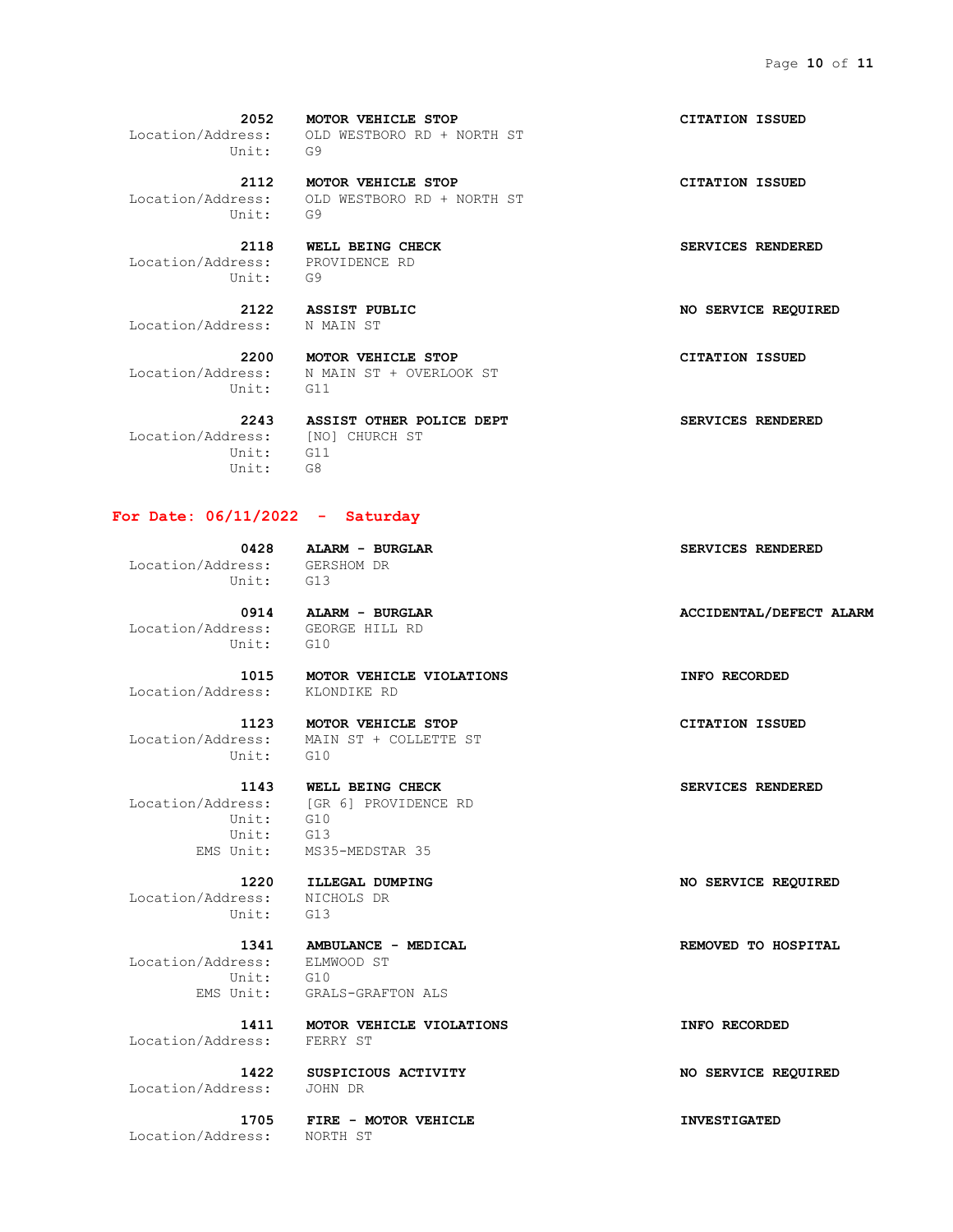**2052 MOTOR VEHICLE STOP CITATION ISSUED** Location/Address: OLD WESTBORO RD + NORTH ST Unit: G9

 **2112 MOTOR VEHICLE STOP CITATION ISSUED** Location/Address: OLD WESTBORO RD + NORTH ST Unit: G9

 **2118 WELL BEING CHECK SERVICES RENDERED** Location/Address: PROVIDENCE RD Unit: G9

Location/Address: N MAIN ST

Unit: G11

 **2200 MOTOR VEHICLE STOP CITATION ISSUED** Location/Address: N MAIN ST + OVERLOOK ST

Location/Address: [NO] CHURCH ST<br>Unit: G11  $\overline{$ Unit: Unit: G8

#### **For Date: 06/11/2022 - Saturday**

 Location/Address: GERSHOM DR Unit: G13

 Location/Address: GEORGE HILL RD Unit: G10

Location/Address: KLONDIKE RD

 **1123 MOTOR VEHICLE STOP CITATION ISSUED** Location/Address: MAIN ST + COLLETTE ST

 Location/Address: [GR 6] PROVIDENCE RD Unit: G10 Unit: G13 EMS Unit: MS35-MEDSTAR 35

 Location/Address: NICHOLS DR Unit: G13

 Location/Address: ELMWOOD ST Unit: G10<br>EMS Unit: GRAI

GRALS-GRAFTON ALS

Location/Address: FERRY ST

Location/Address: JOHN DR

Location/Address: NORTH ST

 **2243 ASSIST OTHER POLICE DEPT SERVICES RENDERED**

 **2122 ASSIST PUBLIC NO SERVICE REQUIRED**

 **0428 ALARM - BURGLAR SERVICES RENDERED**

0914 **ALARM - BURGLAR <b>ACCIDENTAL**/DEFECT ALARM

 **1015 MOTOR VEHICLE VIOLATIONS INFO RECORDED**

 **1220 ILLEGAL DUMPING NO SERVICE REQUIRED**

 **1341 AMBULANCE - MEDICAL REMOVED TO HOSPITAL**

 **1411 MOTOR VEHICLE VIOLATIONS INFO RECORDED**

 **1422 SUSPICIOUS ACTIVITY NO SERVICE REQUIRED**

 **1705 FIRE - MOTOR VEHICLE INVESTIGATED**

## Unit: G10  **1143 WELL BEING CHECK SERVICES RENDERED**